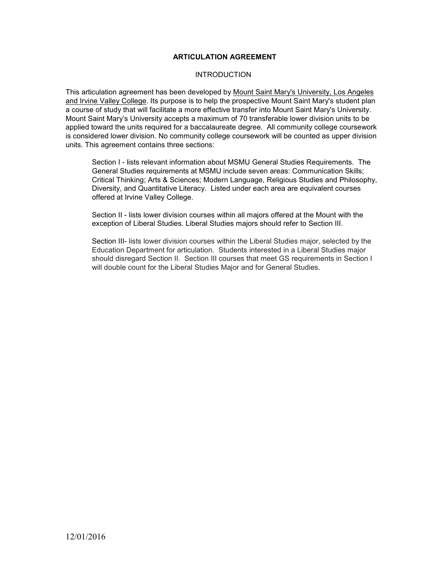### **ARTICULATION AGREEMENT**

### **INTRODUCTION**

This articulation agreement has been developed by Mount Saint Mary's University, Los Angeles and Irvine Valley College. Its purpose is to help the prospective Mount Saint Mary's student plan a course of study that will facilitate a more effective transfer into Mount Saint Mary's University. Mount Saint Mary's University accepts a maximum of 70 transferable lower division units to be applied toward the units required for a baccalaureate degree. All community college coursework is considered lower division. No community college coursework will be counted as upper division units. This agreement contains three sections:

Section I - lists relevant information about MSMU General Studies Requirements. The General Studies requirements at MSMU include seven areas: Communication Skills; Critical Thinking; Arts & Sciences; Modern Language, Religious Studies and Philosophy, Diversity, and Quantitative Literacy. Listed under each area are equivalent courses offered at Irvine Valley College.

Section II - lists lower division courses within all majors offered at the Mount with the exception of Liberal Studies. Liberal Studies majors should refer to Section III.

Section III- lists lower division courses within the Liberal Studies major, selected by the Education Department for articulation. Students interested in a Liberal Studies major should disregard Section II. Section III courses that meet GS requirements in Section I will double count for the Liberal Studies Major and for General Studies.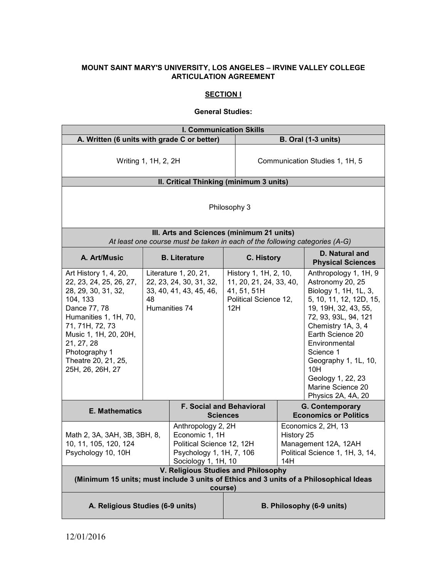### **MOUNT SAINT MARY'S UNIVERSITY, LOS ANGELES – IRVINE VALLEY COLLEGE ARTICULATION AGREEMENT**

# **SECTION I**

#### **General Studies:**

| <b>I. Communication Skills</b>                                                                                                                                                                                                                     |    |                                                                                                                      |                                                                                                 |                                                                                                     |                                                                                                                                                                                                                                                                                                                      |
|----------------------------------------------------------------------------------------------------------------------------------------------------------------------------------------------------------------------------------------------------|----|----------------------------------------------------------------------------------------------------------------------|-------------------------------------------------------------------------------------------------|-----------------------------------------------------------------------------------------------------|----------------------------------------------------------------------------------------------------------------------------------------------------------------------------------------------------------------------------------------------------------------------------------------------------------------------|
| A. Written (6 units with grade C or better)                                                                                                                                                                                                        |    |                                                                                                                      |                                                                                                 | <b>B. Oral (1-3 units)</b>                                                                          |                                                                                                                                                                                                                                                                                                                      |
| Writing 1, 1H, 2, 2H                                                                                                                                                                                                                               |    |                                                                                                                      | Communication Studies 1, 1H, 5                                                                  |                                                                                                     |                                                                                                                                                                                                                                                                                                                      |
|                                                                                                                                                                                                                                                    |    | II. Critical Thinking (minimum 3 units)                                                                              |                                                                                                 |                                                                                                     |                                                                                                                                                                                                                                                                                                                      |
| Philosophy 3<br>III. Arts and Sciences (minimum 21 units)                                                                                                                                                                                          |    |                                                                                                                      |                                                                                                 |                                                                                                     |                                                                                                                                                                                                                                                                                                                      |
|                                                                                                                                                                                                                                                    |    | At least one course must be taken in each of the following categories (A-G)                                          |                                                                                                 |                                                                                                     |                                                                                                                                                                                                                                                                                                                      |
| A. Art/Music                                                                                                                                                                                                                                       |    | <b>B.</b> Literature                                                                                                 | C. History                                                                                      |                                                                                                     | D. Natural and<br><b>Physical Sciences</b>                                                                                                                                                                                                                                                                           |
| Art History 1, 4, 20,<br>22, 23, 24, 25, 26, 27,<br>28, 29, 30, 31, 32,<br>104, 133<br>Dance 77, 78<br>Humanities 1, 1H, 70,<br>71, 71H, 72, 73<br>Music 1, 1H, 20, 20H,<br>21, 27, 28<br>Photography 1<br>Theatre 20, 21, 25,<br>25H, 26, 26H, 27 | 48 | Literature 1, 20, 21,<br>22, 23, 24, 30, 31, 32,<br>33, 40, 41, 43, 45, 46,<br>Humanities 74                         | History 1, 1H, 2, 10,<br>11, 20, 21, 24, 33, 40,<br>41, 51, 51H<br>Political Science 12,<br>12H |                                                                                                     | Anthropology 1, 1H, 9<br>Astronomy 20, 25<br>Biology 1, 1H, 1L, 3,<br>5, 10, 11, 12, 12D, 15,<br>19, 19H, 32, 43, 55,<br>72, 93, 93L, 94, 121<br>Chemistry 1A, 3, 4<br>Earth Science 20<br>Environmental<br>Science 1<br>Geography 1, 1L, 10,<br>10H<br>Geology 1, 22, 23<br>Marine Science 20<br>Physics 2A, 4A, 20 |
| <b>E. Mathematics</b>                                                                                                                                                                                                                              |    |                                                                                                                      | <b>F. Social and Behavioral</b><br><b>Sciences</b>                                              |                                                                                                     | <b>G. Contemporary</b><br><b>Economics or Politics</b>                                                                                                                                                                                                                                                               |
| Math 2, 3A, 3AH, 3B, 3BH, 8,<br>10, 11, 105, 120, 124<br>Psychology 10, 10H                                                                                                                                                                        |    | Anthropology 2, 2H<br>Economic 1, 1H<br>Political Science 12, 12H<br>Psychology 1, 1H, 7, 106<br>Sociology 1, 1H, 10 |                                                                                                 | Economics 2, 2H, 13<br>History 25<br>Management 12A, 12AH<br>Political Science 1, 1H, 3, 14,<br>14H |                                                                                                                                                                                                                                                                                                                      |
| V. Religious Studies and Philosophy<br>(Minimum 15 units; must include 3 units of Ethics and 3 units of a Philosophical Ideas<br>course)                                                                                                           |    |                                                                                                                      |                                                                                                 |                                                                                                     |                                                                                                                                                                                                                                                                                                                      |
| A. Religious Studies (6-9 units)                                                                                                                                                                                                                   |    |                                                                                                                      |                                                                                                 |                                                                                                     | B. Philosophy (6-9 units)                                                                                                                                                                                                                                                                                            |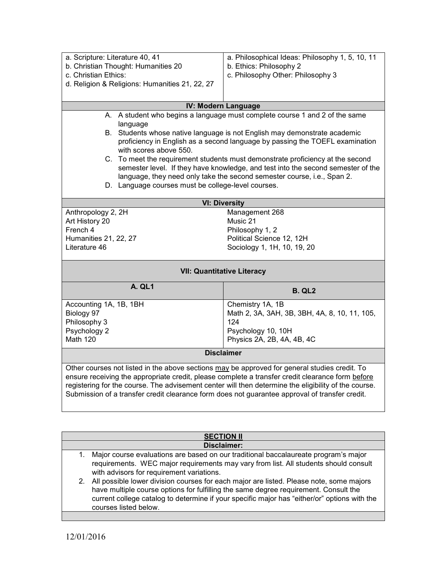| a. Scripture: Literature 40, 41<br>b. Christian Thought: Humanities 20                                                                                                                                                                                                                                                                                                                                      | a. Philosophical Ideas: Philosophy 1, 5, 10, 11<br>b. Ethics: Philosophy 2                                                                                         |  |  |
|-------------------------------------------------------------------------------------------------------------------------------------------------------------------------------------------------------------------------------------------------------------------------------------------------------------------------------------------------------------------------------------------------------------|--------------------------------------------------------------------------------------------------------------------------------------------------------------------|--|--|
| c. Christian Ethics:                                                                                                                                                                                                                                                                                                                                                                                        | c. Philosophy Other: Philosophy 3                                                                                                                                  |  |  |
| d. Religion & Religions: Humanities 21, 22, 27                                                                                                                                                                                                                                                                                                                                                              |                                                                                                                                                                    |  |  |
|                                                                                                                                                                                                                                                                                                                                                                                                             | IV: Modern Language                                                                                                                                                |  |  |
|                                                                                                                                                                                                                                                                                                                                                                                                             | A. A student who begins a language must complete course 1 and 2 of the same                                                                                        |  |  |
| language<br>B. Students whose native language is not English may demonstrate academic<br>proficiency in English as a second language by passing the TOEFL examination<br>with scores above 550.                                                                                                                                                                                                             |                                                                                                                                                                    |  |  |
|                                                                                                                                                                                                                                                                                                                                                                                                             | C. To meet the requirement students must demonstrate proficiency at the second<br>semester level. If they have knowledge, and test into the second semester of the |  |  |
|                                                                                                                                                                                                                                                                                                                                                                                                             | language, they need only take the second semester course, i.e., Span 2.                                                                                            |  |  |
| D. Language courses must be college-level courses.                                                                                                                                                                                                                                                                                                                                                          |                                                                                                                                                                    |  |  |
|                                                                                                                                                                                                                                                                                                                                                                                                             | <b>VI: Diversity</b>                                                                                                                                               |  |  |
| Anthropology 2, 2H                                                                                                                                                                                                                                                                                                                                                                                          | Management 268                                                                                                                                                     |  |  |
| Art History 20                                                                                                                                                                                                                                                                                                                                                                                              | Music 21                                                                                                                                                           |  |  |
| French 4                                                                                                                                                                                                                                                                                                                                                                                                    | Philosophy 1, 2                                                                                                                                                    |  |  |
| <b>Humanities 21, 22, 27</b>                                                                                                                                                                                                                                                                                                                                                                                | Political Science 12, 12H                                                                                                                                          |  |  |
| Literature 46                                                                                                                                                                                                                                                                                                                                                                                               | Sociology 1, 1H, 10, 19, 20                                                                                                                                        |  |  |
| <b>VII: Quantitative Literacy</b>                                                                                                                                                                                                                                                                                                                                                                           |                                                                                                                                                                    |  |  |
| A. QL1                                                                                                                                                                                                                                                                                                                                                                                                      | <b>B. QL2</b>                                                                                                                                                      |  |  |
| Accounting 1A, 1B, 1BH                                                                                                                                                                                                                                                                                                                                                                                      | Chemistry 1A, 1B                                                                                                                                                   |  |  |
| Biology 97                                                                                                                                                                                                                                                                                                                                                                                                  | Math 2, 3A, 3AH, 3B, 3BH, 4A, 8, 10, 11, 105,                                                                                                                      |  |  |
| Philosophy 3                                                                                                                                                                                                                                                                                                                                                                                                | 124                                                                                                                                                                |  |  |
| Psychology 2                                                                                                                                                                                                                                                                                                                                                                                                | Psychology 10, 10H                                                                                                                                                 |  |  |
| <b>Math 120</b>                                                                                                                                                                                                                                                                                                                                                                                             | Physics 2A, 2B, 4A, 4B, 4C                                                                                                                                         |  |  |
| <b>Disclaimer</b>                                                                                                                                                                                                                                                                                                                                                                                           |                                                                                                                                                                    |  |  |
| Other courses not listed in the above sections may be approved for general studies credit. To<br>ensure receiving the appropriate credit, please complete a transfer credit clearance form before<br>registering for the course. The advisement center will then determine the eligibility of the course.<br>Submission of a transfer credit clearance form does not guarantee approval of transfer credit. |                                                                                                                                                                    |  |  |
|                                                                                                                                                                                                                                                                                                                                                                                                             |                                                                                                                                                                    |  |  |
|                                                                                                                                                                                                                                                                                                                                                                                                             | <b>SECTION II</b>                                                                                                                                                  |  |  |

| ULVIIVII II                             |  |
|-----------------------------------------|--|
| Disclaimer:                             |  |
| ns are based on our traditional baccala |  |
|                                         |  |

1. Major course evaluations are based on our traditional baccalaureate program's major requirements. WEC major requirements may vary from list. All students should consult with advisors for requirement variations.

2. All possible lower division courses for each major are listed. Please note, some majors have multiple course options for fulfilling the same degree requirement. Consult the current college catalog to determine if your specific major has "either/or" options with the courses listed below.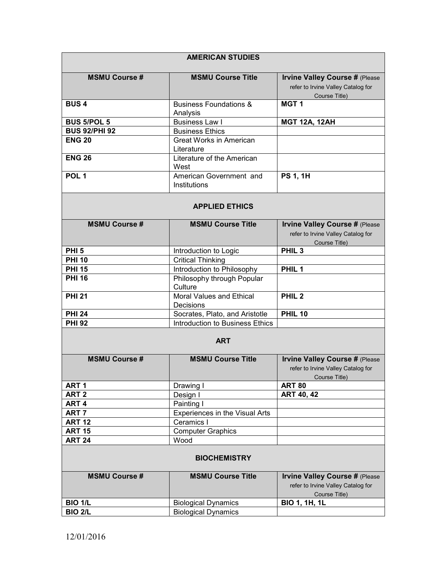|                      | <b>AMERICAN STUDIES</b>                       |                                                                                              |
|----------------------|-----------------------------------------------|----------------------------------------------------------------------------------------------|
| <b>MSMU Course #</b> | <b>MSMU Course Title</b>                      | <b>Irvine Valley Course # (Please</b><br>refer to Irvine Valley Catalog for<br>Course Title) |
| <b>BUS4</b>          | <b>Business Foundations &amp;</b><br>Analysis | MGT <sub>1</sub>                                                                             |
| <b>BUS 5/POL 5</b>   | <b>Business Law I</b>                         | <b>MGT 12A, 12AH</b>                                                                         |
| <b>BUS 92/PHI 92</b> | <b>Business Ethics</b>                        |                                                                                              |
| <b>ENG 20</b>        | <b>Great Works in American</b><br>Literature  |                                                                                              |
| <b>ENG 26</b>        | Literature of the American<br>West            |                                                                                              |
| POL <sub>1</sub>     | American Government and<br>Institutions       | <b>PS 1, 1H</b>                                                                              |
|                      | <b>APPLIED ETHICS</b>                         |                                                                                              |
| <b>MSMU Course #</b> | <b>MSMU Course Title</b>                      | <b>Irvine Valley Course # (Please</b><br>refer to Irvine Valley Catalog for<br>Course Title) |
| PHI <sub>5</sub>     | Introduction to Logic                         | PHIL <sub>3</sub>                                                                            |
| <b>PHI 10</b>        | <b>Critical Thinking</b>                      |                                                                                              |
| <b>PHI 15</b>        | Introduction to Philosophy                    | PHIL <sub>1</sub>                                                                            |
| <b>PHI 16</b>        | Philosophy through Popular<br>Culture         |                                                                                              |
| <b>PHI 21</b>        | Moral Values and Ethical<br>Decisions         | PHIL <sub>2</sub>                                                                            |
| <b>PHI 24</b>        | Socrates, Plato, and Aristotle                | <b>PHIL 10</b>                                                                               |
| <b>PHI 92</b>        | Introduction to Business Ethics               |                                                                                              |
|                      | <b>ART</b>                                    |                                                                                              |
| <b>MSMU Course #</b> | <b>MSMU Course Title</b>                      | <b>Irvine Valley Course # (Please</b><br>refer to Irvine Valley Catalog for<br>Course Title) |
| ART <sub>1</sub>     | Drawing I                                     | <b>ART 80</b>                                                                                |
| ART <sub>2</sub>     | Design I                                      | <b>ART 40, 42</b>                                                                            |
| ART <sub>4</sub>     | Painting I                                    |                                                                                              |
| ART <sub>7</sub>     | Experiences in the Visual Arts                |                                                                                              |
| <b>ART 12</b>        | Ceramics I                                    |                                                                                              |
| <b>ART 15</b>        | <b>Computer Graphics</b>                      |                                                                                              |
| <b>ART 24</b>        | Wood                                          |                                                                                              |
|                      | <b>BIOCHEMISTRY</b>                           |                                                                                              |
| <b>MSMU Course #</b> | <b>MSMU Course Title</b>                      | <b>Irvine Valley Course # (Please</b><br>refer to Irvine Valley Catalog for<br>Course Title) |
| <b>BIO 1/L</b>       | <b>Biological Dynamics</b>                    | <b>BIO 1, 1H, 1L</b>                                                                         |
| <b>BIO 2/L</b>       | <b>Biological Dynamics</b>                    |                                                                                              |
|                      |                                               |                                                                                              |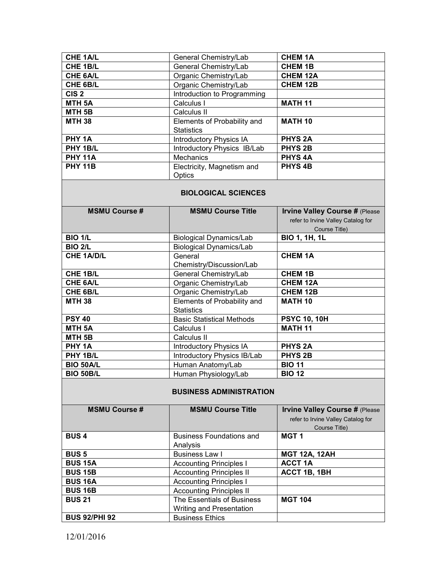| CHE 1A/L           | General Chemistry/Lab          | <b>CHEM 1A</b>  |
|--------------------|--------------------------------|-----------------|
| CHE 1B/L           | General Chemistry/Lab          | <b>CHEM 1B</b>  |
| CHE 6A/L           | Organic Chemistry/Lab          | <b>CHEM 12A</b> |
| CHE 6B/L           | Organic Chemistry/Lab          | <b>CHEM 12B</b> |
| CIS <sub>2</sub>   | Introduction to Programming    |                 |
| MTH <sub>5</sub> A | Calculus I                     | <b>MATH 11</b>  |
| MTH <sub>5B</sub>  | Calculus II                    |                 |
| <b>MTH 38</b>      | Elements of Probability and    | <b>MATH 10</b>  |
|                    | <b>Statistics</b>              |                 |
| PHY 1A             | <b>Introductory Physics IA</b> | <b>PHYS 2A</b>  |
| PHY 1B/L           | Introductory Physics IB/Lab    | <b>PHYS 2B</b>  |
| <b>PHY 11A</b>     | Mechanics                      | <b>PHYS4A</b>   |
| <b>PHY 11B</b>     | Electricity, Magnetism and     | <b>PHYS4B</b>   |
|                    | Optics                         |                 |

## **BIOLOGICAL SCIENCES**

| <b>MSMU Course #</b> | <b>MSMU Course Title</b>         | <b>Irvine Valley Course # (Please</b> |
|----------------------|----------------------------------|---------------------------------------|
|                      |                                  | refer to Irvine Valley Catalog for    |
|                      |                                  | Course Title)                         |
| <b>BIO 1/L</b>       | <b>Biological Dynamics/Lab</b>   | <b>BIO 1, 1H, 1L</b>                  |
| <b>BIO 2/L</b>       | <b>Biological Dynamics/Lab</b>   |                                       |
| <b>CHE 1A/D/L</b>    | General                          | <b>CHEM 1A</b>                        |
|                      | Chemistry/Discussion/Lab         |                                       |
| <b>CHE 1B/L</b>      | General Chemistry/Lab            | <b>CHEM 1B</b>                        |
| <b>CHE 6A/L</b>      | Organic Chemistry/Lab            | <b>CHEM 12A</b>                       |
| CHE 6B/L             | Organic Chemistry/Lab            | <b>CHEM 12B</b>                       |
| <b>MTH 38</b>        | Elements of Probability and      | <b>MATH 10</b>                        |
|                      | <b>Statistics</b>                |                                       |
| <b>PSY 40</b>        | <b>Basic Statistical Methods</b> | <b>PSYC 10, 10H</b>                   |
| <b>MTH 5A</b>        | Calculus I                       | <b>MATH 11</b>                        |
| MTH <sub>5B</sub>    | Calculus II                      |                                       |
| PHY 1A               | <b>Introductory Physics IA</b>   | <b>PHYS 2A</b>                        |
| PHY 1B/L             | Introductory Physics IB/Lab      | <b>PHYS 2B</b>                        |
| <b>BIO 50A/L</b>     | Human Anatomy/Lab                | <b>BIO 11</b>                         |
| <b>BIO 50B/L</b>     | Human Physiology/Lab             | <b>BIO 12</b>                         |

# **BUSINESS ADMINISTRATION**

| <b>MSMU Course #</b> | <b>MSMU Course Title</b>        | <b>Irvine Valley Course # (Please</b> |
|----------------------|---------------------------------|---------------------------------------|
|                      |                                 | refer to Irvine Valley Catalog for    |
|                      |                                 | Course Title)                         |
| <b>BUS4</b>          | <b>Business Foundations and</b> | MGT <sub>1</sub>                      |
|                      | Analysis                        |                                       |
| <b>BUS5</b>          | Business Law I                  | <b>MGT 12A, 12AH</b>                  |
| <b>BUS 15A</b>       | <b>Accounting Principles I</b>  | <b>ACCT 1A</b>                        |
| <b>BUS 15B</b>       | <b>Accounting Principles II</b> | <b>ACCT 1B, 1BH</b>                   |
| <b>BUS 16A</b>       | <b>Accounting Principles I</b>  |                                       |
| <b>BUS 16B</b>       | <b>Accounting Principles II</b> |                                       |
| <b>BUS 21</b>        | The Essentials of Business      | <b>MGT 104</b>                        |
|                      | Writing and Presentation        |                                       |
| <b>BUS 92/PHI 92</b> | <b>Business Ethics</b>          |                                       |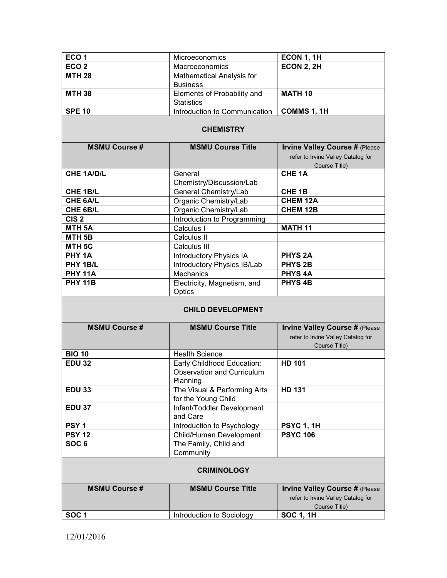| ECO <sub>1</sub>         | Microeconomics                                                              | ECON 1, 1H                                                                                   |  |  |  |
|--------------------------|-----------------------------------------------------------------------------|----------------------------------------------------------------------------------------------|--|--|--|
| ECO <sub>2</sub>         | Macroeconomics                                                              | <b>ECON 2, 2H</b>                                                                            |  |  |  |
| <b>MTH 28</b>            | Mathematical Analysis for<br><b>Business</b>                                |                                                                                              |  |  |  |
| <b>MTH 38</b>            | Elements of Probability and<br><b>Statistics</b>                            | <b>MATH 10</b>                                                                               |  |  |  |
| <b>SPE 10</b>            | Introduction to Communication                                               | COMMS 1, 1H                                                                                  |  |  |  |
|                          | <b>CHEMISTRY</b>                                                            |                                                                                              |  |  |  |
| <b>MSMU Course #</b>     | <b>MSMU Course Title</b>                                                    | <b>Irvine Valley Course # (Please</b>                                                        |  |  |  |
|                          |                                                                             | refer to Irvine Valley Catalog for<br>Course Title)                                          |  |  |  |
| <b>CHE 1A/D/L</b>        | General                                                                     | <b>CHE 1A</b>                                                                                |  |  |  |
|                          | Chemistry/Discussion/Lab                                                    |                                                                                              |  |  |  |
| CHE 1B/L                 | General Chemistry/Lab                                                       | CHE <sub>1B</sub>                                                                            |  |  |  |
| <b>CHE 6A/L</b>          | Organic Chemistry/Lab                                                       | <b>CHEM 12A</b>                                                                              |  |  |  |
| CHE 6B/L                 | Organic Chemistry/Lab                                                       | <b>CHEM 12B</b>                                                                              |  |  |  |
| CIS <sub>2</sub>         | Introduction to Programming                                                 |                                                                                              |  |  |  |
| MTH <sub>5A</sub>        | Calculus I                                                                  | <b>MATH 11</b>                                                                               |  |  |  |
| MTH <sub>5B</sub>        | Calculus II                                                                 |                                                                                              |  |  |  |
| MTH <sub>5C</sub>        | Calculus III                                                                |                                                                                              |  |  |  |
| PHY 1A                   | <b>Introductory Physics IA</b>                                              | <b>PHYS 2A</b>                                                                               |  |  |  |
| PHY 1B/L                 | Introductory Physics IB/Lab                                                 | <b>PHYS 2B</b>                                                                               |  |  |  |
| <b>PHY 11A</b>           | Mechanics                                                                   | <b>PHYS4A</b>                                                                                |  |  |  |
| <b>PHY 11B</b>           | Electricity, Magnetism, and<br>Optics                                       | <b>PHYS4B</b>                                                                                |  |  |  |
| <b>CHILD DEVELOPMENT</b> |                                                                             |                                                                                              |  |  |  |
| <b>MSMU Course #</b>     | <b>MSMU Course Title</b>                                                    | <b>Irvine Valley Course # (Please</b><br>refer to Irvine Valley Catalog for<br>Course Title) |  |  |  |
| <b>BIO 10</b>            | <b>Health Science</b>                                                       |                                                                                              |  |  |  |
| <b>EDU 32</b>            | Early Childhood Education:<br><b>Observation and Curriculum</b><br>Planning | <b>HD 101</b>                                                                                |  |  |  |
| <b>EDU 33</b>            | The Visual & Performing Arts<br>for the Young Child                         | <b>HD 131</b>                                                                                |  |  |  |
| <b>EDU 37</b>            | Infant/Toddler Development<br>and Care                                      |                                                                                              |  |  |  |
| PSY <sub>1</sub>         | Introduction to Psychology                                                  | <b>PSYC 1, 1H</b>                                                                            |  |  |  |
| <b>PSY 12</b>            | Child/Human Development                                                     | <b>PSYC 106</b>                                                                              |  |  |  |
| SOC <sub>6</sub>         | The Family, Child and<br>Community                                          |                                                                                              |  |  |  |
| <b>CRIMINOLOGY</b>       |                                                                             |                                                                                              |  |  |  |
| <b>MSMU Course #</b>     | <b>MSMU Course Title</b>                                                    | <b>Irvine Valley Course # (Please</b><br>refer to Irvine Valley Catalog for<br>Course Title) |  |  |  |
| SOC <sub>1</sub>         | Introduction to Sociology                                                   | <b>SOC 1, 1H</b>                                                                             |  |  |  |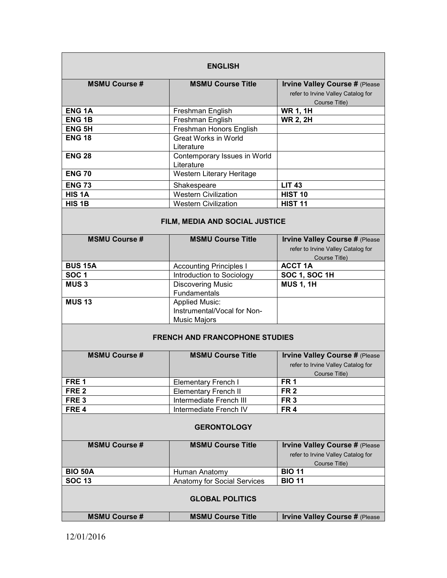| <b>ENGLISH</b>         |                                                                             |                                                                                              |  |  |
|------------------------|-----------------------------------------------------------------------------|----------------------------------------------------------------------------------------------|--|--|
| <b>MSMU Course #</b>   | <b>MSMU Course Title</b>                                                    | <b>Irvine Valley Course # (Please</b><br>refer to Irvine Valley Catalog for<br>Course Title) |  |  |
| <b>ENG1A</b>           | Freshman English                                                            | <b>WR 1, 1H</b>                                                                              |  |  |
| <b>ENG1B</b>           | Freshman English                                                            | <b>WR 2, 2H</b>                                                                              |  |  |
| <b>ENG 5H</b>          | Freshman Honors English                                                     |                                                                                              |  |  |
| <b>ENG 18</b>          | <b>Great Works in World</b><br>Literature                                   |                                                                                              |  |  |
| <b>ENG 28</b>          | Contemporary Issues in World<br>Literature                                  |                                                                                              |  |  |
| <b>ENG 70</b>          | Western Literary Heritage                                                   |                                                                                              |  |  |
| <b>ENG 73</b>          | Shakespeare                                                                 | <b>LIT 43</b>                                                                                |  |  |
| HIS <sub>1</sub> A     | <b>Western Civilization</b>                                                 | <b>HIST 10</b>                                                                               |  |  |
| HIS <sub>1B</sub>      | <b>Western Civilization</b>                                                 | <b>HIST 11</b>                                                                               |  |  |
| <b>MSMU Course #</b>   | FILM, MEDIA AND SOCIAL JUSTICE<br><b>MSMU Course Title</b>                  | <b>Irvine Valley Course # (Please</b>                                                        |  |  |
|                        |                                                                             | refer to Irvine Valley Catalog for<br>Course Title)                                          |  |  |
| <b>BUS 15A</b>         | <b>Accounting Principles I</b>                                              | <b>ACCT 1A</b>                                                                               |  |  |
| <b>SOC1</b>            | Introduction to Sociology                                                   | <b>SOC 1, SOC 1H</b>                                                                         |  |  |
| <b>MUS3</b>            | <b>Discovering Music</b>                                                    | <b>MUS 1, 1H</b>                                                                             |  |  |
| <b>MUS 13</b>          | Fundamentals                                                                |                                                                                              |  |  |
|                        | <b>Applied Music:</b><br>Instrumental/Vocal for Non-<br><b>Music Majors</b> |                                                                                              |  |  |
|                        |                                                                             |                                                                                              |  |  |
|                        | <b>FRENCH AND FRANCOPHONE STUDIES</b>                                       |                                                                                              |  |  |
| <b>MSMU Course #</b>   | <b>MSMU Course Title</b>                                                    | <b>Irvine Valley Course # (Please</b><br>refer to Irvine Valley Catalog for<br>Course Title) |  |  |
| FRE <sub>1</sub>       | <b>Elementary French I</b>                                                  | FR <sub>1</sub>                                                                              |  |  |
| FRE <sub>2</sub>       | <b>Elementary French II</b>                                                 | FR <sub>2</sub>                                                                              |  |  |
| FRE <sub>3</sub>       | Intermediate French III                                                     | FR <sub>3</sub>                                                                              |  |  |
| FRE <sub>4</sub>       | Intermediate French IV                                                      | FR <sub>4</sub>                                                                              |  |  |
| <b>GERONTOLOGY</b>     |                                                                             |                                                                                              |  |  |
| <b>MSMU Course#</b>    | <b>MSMU Course Title</b>                                                    | <b>Irvine Valley Course # (Please</b><br>refer to Irvine Valley Catalog for<br>Course Title) |  |  |
| <b>BIO 50A</b>         | Human Anatomy                                                               | <b>BIO 11</b>                                                                                |  |  |
| <b>SOC 13</b>          | <b>Anatomy for Social Services</b>                                          | <b>BIO 11</b>                                                                                |  |  |
| <b>GLOBAL POLITICS</b> |                                                                             |                                                                                              |  |  |
| <b>MSMU Course #</b>   | <b>MSMU Course Title</b>                                                    | <b>Irvine Valley Course # (Please</b>                                                        |  |  |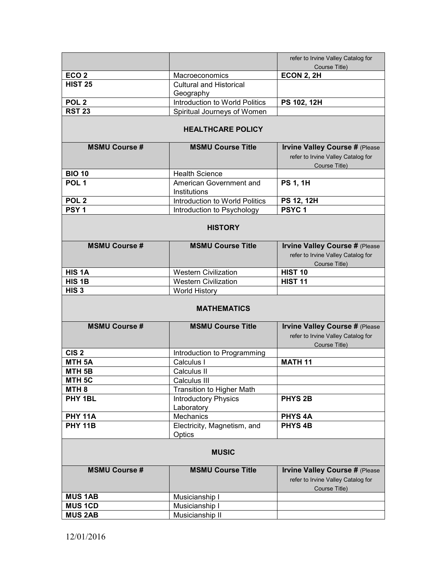|                      |                                           | refer to Irvine Valley Catalog for<br>Course Title)                         |
|----------------------|-------------------------------------------|-----------------------------------------------------------------------------|
| ECO <sub>2</sub>     | Macroeconomics                            | <b>ECON 2, 2H</b>                                                           |
| <b>HIST 25</b>       | <b>Cultural and Historical</b>            |                                                                             |
|                      | Geography                                 |                                                                             |
| POL <sub>2</sub>     | Introduction to World Politics            | PS 102, 12H                                                                 |
| <b>RST 23</b>        | Spiritual Journeys of Women               |                                                                             |
|                      |                                           |                                                                             |
|                      | <b>HEALTHCARE POLICY</b>                  |                                                                             |
| <b>MSMU Course #</b> | <b>MSMU Course Title</b>                  | <b>Irvine Valley Course # (Please</b>                                       |
|                      |                                           | refer to Irvine Valley Catalog for                                          |
|                      |                                           | Course Title)                                                               |
| <b>BIO 10</b>        | <b>Health Science</b>                     |                                                                             |
| POL <sub>1</sub>     | American Government and                   | <b>PS 1, 1H</b>                                                             |
|                      | Institutions                              |                                                                             |
| POL <sub>2</sub>     | Introduction to World Politics            | <b>PS 12, 12H</b>                                                           |
| PSY <sub>1</sub>     | Introduction to Psychology                | PSYC <sub>1</sub>                                                           |
|                      |                                           |                                                                             |
|                      | <b>HISTORY</b>                            |                                                                             |
| <b>MSMU Course #</b> | <b>MSMU Course Title</b>                  | <b>Irvine Valley Course # (Please</b>                                       |
|                      |                                           | refer to Irvine Valley Catalog for                                          |
|                      |                                           | Course Title)                                                               |
| HIS <sub>1</sub> A   | <b>Western Civilization</b>               | <b>HIST 10</b>                                                              |
| HIS <sub>1B</sub>    | <b>Western Civilization</b>               | <b>HIST 11</b>                                                              |
|                      |                                           |                                                                             |
| HIS <sub>3</sub>     |                                           |                                                                             |
|                      | <b>World History</b>                      |                                                                             |
|                      | <b>MATHEMATICS</b>                        |                                                                             |
| <b>MSMU Course #</b> | <b>MSMU Course Title</b>                  | <b>Irvine Valley Course # (Please</b><br>refer to Irvine Valley Catalog for |
| CIS <sub>2</sub>     |                                           | Course Title)                                                               |
| <b>MTH 5A</b>        | Introduction to Programming<br>Calculus I | <b>MATH 11</b>                                                              |
| MTH <sub>5B</sub>    | Calculus II                               |                                                                             |
| MTH 5C               | Calculus III                              |                                                                             |
| MTH <sub>8</sub>     |                                           |                                                                             |
| PHY 1BL              | Transition to Higher Math                 | <b>PHYS 2B</b>                                                              |
|                      | <b>Introductory Physics</b>               |                                                                             |
| <b>PHY 11A</b>       | Laboratory<br><b>Mechanics</b>            | <b>PHYS4A</b>                                                               |
| <b>PHY 11B</b>       | Electricity, Magnetism, and               | <b>PHYS4B</b>                                                               |
|                      | Optics                                    |                                                                             |
|                      |                                           |                                                                             |
|                      | <b>MUSIC</b>                              |                                                                             |
| <b>MSMU Course #</b> | <b>MSMU Course Title</b>                  | <b>Irvine Valley Course # (Please</b>                                       |
|                      |                                           | refer to Irvine Valley Catalog for                                          |
| <b>MUS 1AB</b>       |                                           | Course Title)                                                               |
| <b>MUS 1CD</b>       | Musicianship I<br>Musicianship I          |                                                                             |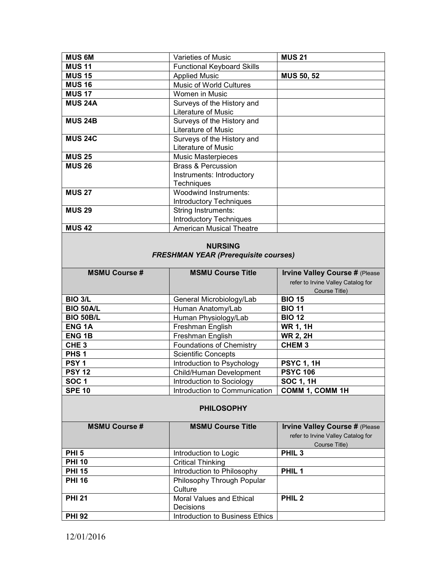| <b>MUS 6M</b>  | Varieties of Music                                                              | <b>MUS 21</b>     |
|----------------|---------------------------------------------------------------------------------|-------------------|
| <b>MUS 11</b>  | <b>Functional Keyboard Skills</b>                                               |                   |
| <b>MUS 15</b>  | <b>Applied Music</b>                                                            | <b>MUS 50, 52</b> |
| <b>MUS 16</b>  | Music of World Cultures                                                         |                   |
| <b>MUS 17</b>  | Women in Music                                                                  |                   |
| <b>MUS 24A</b> | Surveys of the History and<br>Literature of Music                               |                   |
| <b>MUS 24B</b> | Surveys of the History and<br>Literature of Music                               |                   |
| <b>MUS 24C</b> | Surveys of the History and<br>Literature of Music                               |                   |
| <b>MUS 25</b>  | <b>Music Masterpieces</b>                                                       |                   |
| <b>MUS 26</b>  | <b>Brass &amp; Percussion</b><br>Instruments: Introductory<br><b>Techniques</b> |                   |
| <b>MUS 27</b>  | <b>Woodwind Instruments:</b><br><b>Introductory Techniques</b>                  |                   |
| <b>MUS 29</b>  | <b>String Instruments:</b><br><b>Introductory Techniques</b>                    |                   |
| <b>MUS 42</b>  | <b>American Musical Theatre</b>                                                 |                   |

# **NURSING**  *FRESHMAN YEAR (Prerequisite courses)*

| <b>MSMU Course #</b> | <b>MSMU Course Title</b>        | <b>Irvine Valley Course # (Please</b> |
|----------------------|---------------------------------|---------------------------------------|
|                      |                                 | refer to Irvine Valley Catalog for    |
|                      |                                 | Course Title)                         |
| <b>BIO 3/L</b>       | General Microbiology/Lab        | <b>BIO 15</b>                         |
| <b>BIO 50A/L</b>     | Human Anatomy/Lab               | <b>BIO 11</b>                         |
| <b>BIO 50B/L</b>     | Human Physiology/Lab            | <b>BIO 12</b>                         |
| <b>ENG 1A</b>        | Freshman English                | <b>WR 1, 1H</b>                       |
| <b>ENG 1B</b>        | Freshman English                | <b>WR 2, 2H</b>                       |
| CHE <sub>3</sub>     | <b>Foundations of Chemistry</b> | <b>CHEM3</b>                          |
| PHS <sub>1</sub>     | <b>Scientific Concepts</b>      |                                       |
| PSY <sub>1</sub>     | Introduction to Psychology      | <b>PSYC 1, 1H</b>                     |
| <b>PSY 12</b>        | Child/Human Development         | <b>PSYC 106</b>                       |
| <b>SOC1</b>          | Introduction to Sociology       | <b>SOC 1, 1H</b>                      |
| <b>SPE 10</b>        | Introduction to Communication   | <b>COMM 1, COMM 1H</b>                |

### **PHILOSOPHY**

| <b>MSMU Course #</b> | <b>MSMU Course Title</b>        | <b>Irvine Valley Course # (Please</b> |
|----------------------|---------------------------------|---------------------------------------|
|                      |                                 | refer to Irvine Valley Catalog for    |
|                      |                                 | Course Title)                         |
| <b>PHI 5</b>         | Introduction to Logic           | PHIL <sub>3</sub>                     |
| <b>PHI 10</b>        | <b>Critical Thinking</b>        |                                       |
| <b>PHI 15</b>        | Introduction to Philosophy      | PHIL <sub>1</sub>                     |
| <b>PHI 16</b>        | Philosophy Through Popular      |                                       |
|                      | Culture                         |                                       |
| <b>PHI 21</b>        | Moral Values and Ethical        | PHIL <sub>2</sub>                     |
|                      | Decisions                       |                                       |
| <b>PHI 92</b>        | Introduction to Business Ethics |                                       |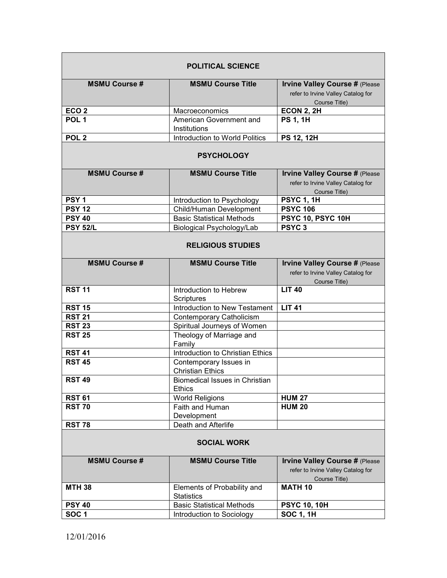| <b>POLITICAL SCIENCE</b> |                                                        |                                                                                              |
|--------------------------|--------------------------------------------------------|----------------------------------------------------------------------------------------------|
| <b>MSMU Course #</b>     | <b>MSMU Course Title</b>                               | <b>Irvine Valley Course # (Please</b><br>refer to Irvine Valley Catalog for<br>Course Title) |
| ECO <sub>2</sub>         | Macroeconomics                                         | <b>ECON 2, 2H</b>                                                                            |
| POL <sub>1</sub>         | American Government and<br><b>Institutions</b>         | <b>PS 1, 1H</b>                                                                              |
| POL <sub>2</sub>         | Introduction to World Politics                         | PS 12, 12H                                                                                   |
| <b>PSYCHOLOGY</b>        |                                                        |                                                                                              |
| <b>MSMU Course#</b>      | <b>MSMU Course Title</b>                               | <b>Irvine Valley Course # (Please</b><br>refer to Irvine Valley Catalog for<br>Course Title) |
| PSY <sub>1</sub>         | Introduction to Psychology                             | <b>PSYC 1, 1H</b>                                                                            |
| <b>PSY 12</b>            | Child/Human Development                                | <b>PSYC 106</b>                                                                              |
| <b>PSY 40</b>            | <b>Basic Statistical Methods</b>                       | PSYC 10, PSYC 10H                                                                            |
| <b>PSY 52/L</b>          | <b>Biological Psychology/Lab</b>                       | PSYC <sub>3</sub>                                                                            |
| <b>RELIGIOUS STUDIES</b> |                                                        |                                                                                              |
| <b>MSMU Course#</b>      | <b>MSMU Course Title</b>                               | <b>Irvine Valley Course # (Please</b><br>refer to Irvine Valley Catalog for<br>Course Title) |
| <b>RST 11</b>            | Introduction to Hebrew<br>Scriptures                   | <b>LIT 40</b>                                                                                |
| <b>RST 15</b>            | Introduction to New Testament                          | <b>LIT 41</b>                                                                                |
| <b>RST 21</b>            | Contemporary Catholicism                               |                                                                                              |
| <b>RST 23</b>            | Spiritual Journeys of Women                            |                                                                                              |
| <b>RST 25</b>            | Theology of Marriage and<br>Family                     |                                                                                              |
| <b>RST 41</b>            | Introduction to Christian Ethics                       |                                                                                              |
| <b>RST 45</b>            | Contemporary Issues in<br><b>Christian Ethics</b>      |                                                                                              |
| <b>RST 49</b>            | <b>Biomedical Issues in Christian</b><br><b>Ethics</b> |                                                                                              |
| <b>RST 61</b>            | <b>World Religions</b>                                 | <b>HUM 27</b>                                                                                |
| <b>RST 70</b>            | Faith and Human<br>Development                         | <b>HUM 20</b>                                                                                |
| <b>RST 78</b>            | Death and Afterlife                                    |                                                                                              |
| <b>SOCIAL WORK</b>       |                                                        |                                                                                              |
| <b>MSMU Course #</b>     | <b>MSMU Course Title</b>                               | <b>Irvine Valley Course # (Please</b><br>refer to Irvine Valley Catalog for                  |
|                          |                                                        | Course Title)                                                                                |
| <b>MTH 38</b>            | Elements of Probability and<br><b>Statistics</b>       | <b>MATH 10</b>                                                                               |
| <b>PSY 40</b>            | <b>Basic Statistical Methods</b>                       | <b>PSYC 10, 10H</b>                                                                          |
| SOC <sub>1</sub>         | Introduction to Sociology                              | <b>SOC 1, 1H</b>                                                                             |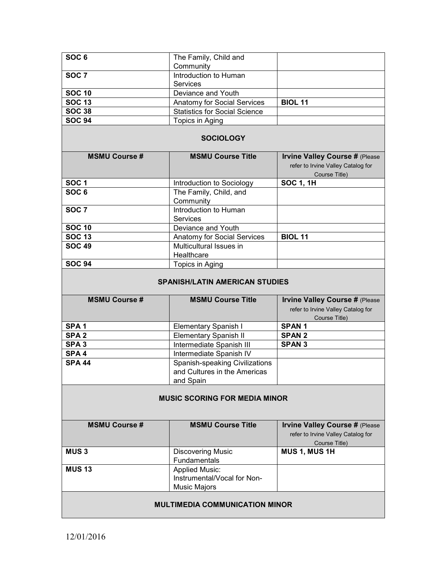| SOC <sub>6</sub>                      | The Family, Child and<br>Community                 |                                                                                              |
|---------------------------------------|----------------------------------------------------|----------------------------------------------------------------------------------------------|
| SOC <sub>7</sub>                      | Introduction to Human                              |                                                                                              |
|                                       | <b>Services</b>                                    |                                                                                              |
| <b>SOC 10</b>                         | Deviance and Youth                                 |                                                                                              |
| <b>SOC 13</b>                         | <b>Anatomy for Social Services</b>                 | <b>BIOL 11</b>                                                                               |
| <b>SOC 38</b>                         | <b>Statistics for Social Science</b>               |                                                                                              |
| <b>SOC 94</b>                         | Topics in Aging                                    |                                                                                              |
| <b>SOCIOLOGY</b>                      |                                                    |                                                                                              |
| <b>MSMU Course #</b>                  | <b>MSMU Course Title</b>                           | <b>Irvine Valley Course # (Please</b><br>refer to Irvine Valley Catalog for<br>Course Title) |
| SOC <sub>1</sub>                      | Introduction to Sociology                          | <b>SOC 1, 1H</b>                                                                             |
| SOC <sub>6</sub>                      | The Family, Child, and<br>Community                |                                                                                              |
| SOC <sub>7</sub>                      | Introduction to Human<br><b>Services</b>           |                                                                                              |
| <b>SOC 10</b>                         | Deviance and Youth                                 |                                                                                              |
| <b>SOC 13</b>                         | <b>Anatomy for Social Services</b>                 | <b>BIOL 11</b>                                                                               |
| <b>SOC 49</b>                         | Multicultural Issues in<br>Healthcare              |                                                                                              |
| <b>SOC 94</b>                         | Topics in Aging                                    |                                                                                              |
| <b>SPANISH/LATIN AMERICAN STUDIES</b> |                                                    |                                                                                              |
|                                       |                                                    |                                                                                              |
| <b>MSMU Course #</b>                  | <b>MSMU Course Title</b>                           | <b>Irvine Valley Course # (Please</b><br>refer to Irvine Valley Catalog for<br>Course Title) |
| SPA <sub>1</sub>                      | <b>Elementary Spanish I</b>                        | <b>SPAN1</b>                                                                                 |
| SPA <sub>2</sub>                      | <b>Elementary Spanish II</b>                       | <b>SPAN 2</b>                                                                                |
| SPA <sub>3</sub>                      | Intermediate Spanish III                           | <b>SPAN 3</b>                                                                                |
| SPA <sub>4</sub>                      | Intermediate Spanish IV                            |                                                                                              |
| <b>SPA 44</b>                         | Spanish-speaking Civilizations                     |                                                                                              |
|                                       | and Cultures in the Americas                       |                                                                                              |
|                                       | and Spain                                          |                                                                                              |
|                                       | <b>MUSIC SCORING FOR MEDIA MINOR</b>               |                                                                                              |
| <b>MSMU Course #</b>                  | <b>MSMU Course Title</b>                           | <b>Irvine Valley Course # (Please</b><br>refer to Irvine Valley Catalog for                  |
| <b>MUS3</b>                           | <b>Discovering Music</b>                           | Course Title)<br>MUS 1, MUS 1H                                                               |
|                                       | Fundamentals                                       |                                                                                              |
| <b>MUS 13</b>                         | <b>Applied Music:</b>                              |                                                                                              |
|                                       | Instrumental/Vocal for Non-<br><b>Music Majors</b> |                                                                                              |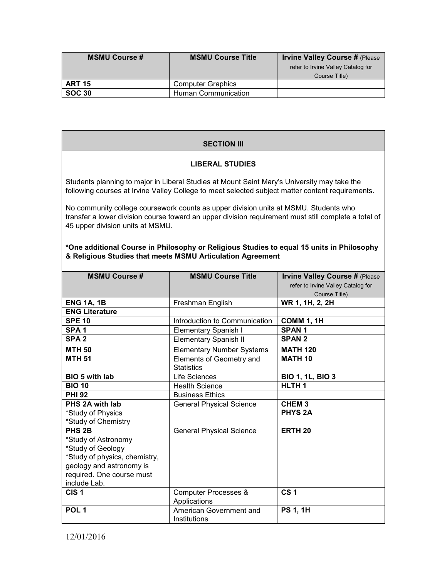| <b>MSMU Course #</b> | <b>MSMU Course Title</b>   | <b>Irvine Valley Course # (Please</b> |
|----------------------|----------------------------|---------------------------------------|
|                      |                            | refer to Irvine Valley Catalog for    |
|                      |                            | Course Title)                         |
| <b>ART 15</b>        | <b>Computer Graphics</b>   |                                       |
| <b>SOC 30</b>        | <b>Human Communication</b> |                                       |

## **SECTION III**

## **LIBERAL STUDIES**

Students planning to major in Liberal Studies at Mount Saint Mary's University may take the following courses at Irvine Valley College to meet selected subject matter content requirements.

No community college coursework counts as upper division units at MSMU. Students who transfer a lower division course toward an upper division requirement must still complete a total of 45 upper division units at MSMU.

| *One additional Course in Philosophy or Religious Studies to equal 15 units in Philosophy |  |
|-------------------------------------------------------------------------------------------|--|
| & Religious Studies that meets MSMU Articulation Agreement                                |  |

| <b>MSMU Course #</b>          | <b>MSMU Course Title</b>         | <b>Irvine Valley Course # (Please</b> |
|-------------------------------|----------------------------------|---------------------------------------|
|                               |                                  | refer to Irvine Valley Catalog for    |
|                               |                                  | Course Title)                         |
| <b>ENG 1A, 1B</b>             | Freshman English                 | WR 1, 1H, 2, 2H                       |
| <b>ENG Literature</b>         |                                  |                                       |
| <b>SPE 10</b>                 | Introduction to Communication    | <b>COMM 1, 1H</b>                     |
| SPA <sub>1</sub>              | <b>Elementary Spanish I</b>      | <b>SPAN1</b>                          |
| SPA <sub>2</sub>              | <b>Elementary Spanish II</b>     | <b>SPAN 2</b>                         |
| <b>MTH 50</b>                 | <b>Elementary Number Systems</b> | <b>MATH 120</b>                       |
| <b>MTH 51</b>                 | Elements of Geometry and         | <b>MATH 10</b>                        |
|                               | <b>Statistics</b>                |                                       |
| <b>BIO 5 with lab</b>         | Life Sciences                    | <b>BIO 1, 1L, BIO 3</b>               |
| <b>BIO 10</b>                 | <b>Health Science</b>            | HLTH <sub>1</sub>                     |
| <b>PHI 92</b>                 | <b>Business Ethics</b>           |                                       |
| PHS 2A with lab               | <b>General Physical Science</b>  | CHEM <sub>3</sub>                     |
| *Study of Physics             |                                  | <b>PHYS 2A</b>                        |
| *Study of Chemistry           |                                  |                                       |
| PHS <sub>2B</sub>             | <b>General Physical Science</b>  | <b>ERTH 20</b>                        |
| *Study of Astronomy           |                                  |                                       |
| *Study of Geology             |                                  |                                       |
| *Study of physics, chemistry, |                                  |                                       |
| geology and astronomy is      |                                  |                                       |
| required. One course must     |                                  |                                       |
| include Lab.                  |                                  |                                       |
| CIS <sub>1</sub>              | <b>Computer Processes &amp;</b>  | CS <sub>1</sub>                       |
|                               | Applications                     |                                       |
| POL <sub>1</sub>              | American Government and          | <b>PS 1, 1H</b>                       |
|                               | Institutions                     |                                       |